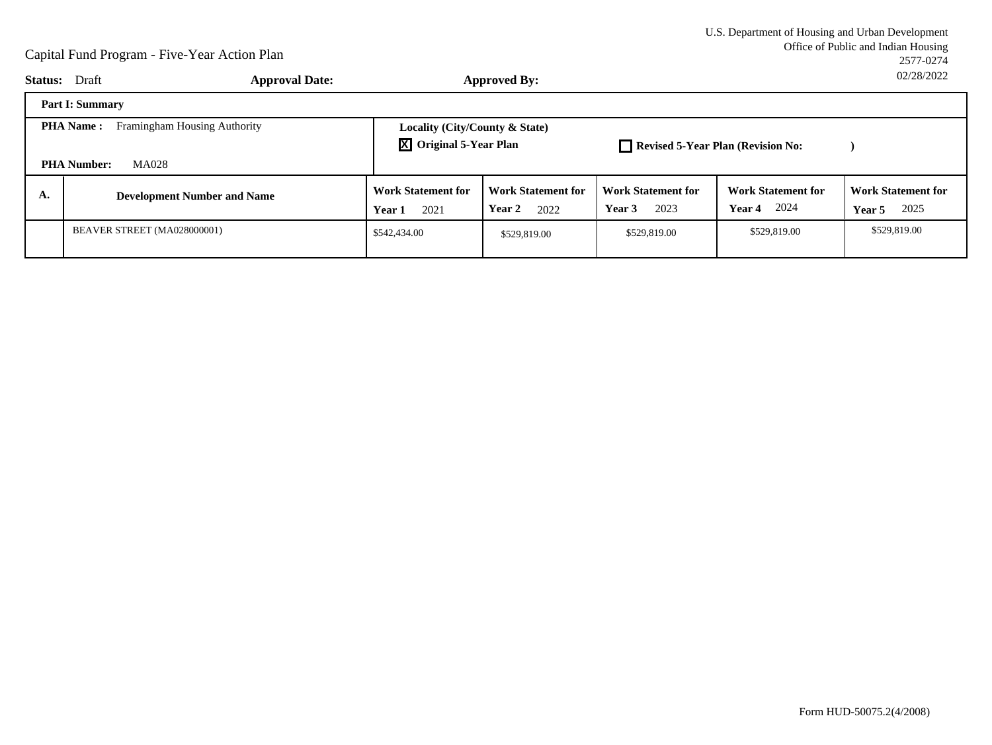|                                                                                 | <b>Approval Date:</b><br><b>Status:</b> Draft |                                                                 | <b>Approved By:</b>                         |                                             |                                                    | UZ/Z0/ZUZZ                                         |
|---------------------------------------------------------------------------------|-----------------------------------------------|-----------------------------------------------------------------|---------------------------------------------|---------------------------------------------|----------------------------------------------------|----------------------------------------------------|
|                                                                                 | <b>Part I: Summary</b>                        |                                                                 |                                             |                                             |                                                    |                                                    |
| Framingham Housing Authority<br><b>PHA Name:</b><br>MA028<br><b>PHA Number:</b> |                                               | Locality (City/County & State)<br><b>X</b> Original 5-Year Plan |                                             | Revised 5-Year Plan (Revision No:           |                                                    |                                                    |
| А.                                                                              | <b>Development Number and Name</b>            | <b>Work Statement for</b><br>2021<br>Year 1                     | <b>Work Statement for</b><br>Year 2<br>2022 | <b>Work Statement for</b><br>2023<br>Year 3 | <b>Work Statement for</b><br>2024<br><b>Year 4</b> | <b>Work Statement for</b><br>2025<br><b>Year 5</b> |
|                                                                                 | BEAVER STREET (MA028000001)                   | \$542,434.00                                                    | \$529,819.00                                | \$529,819.00                                | \$529,819.00                                       | \$529,819.00                                       |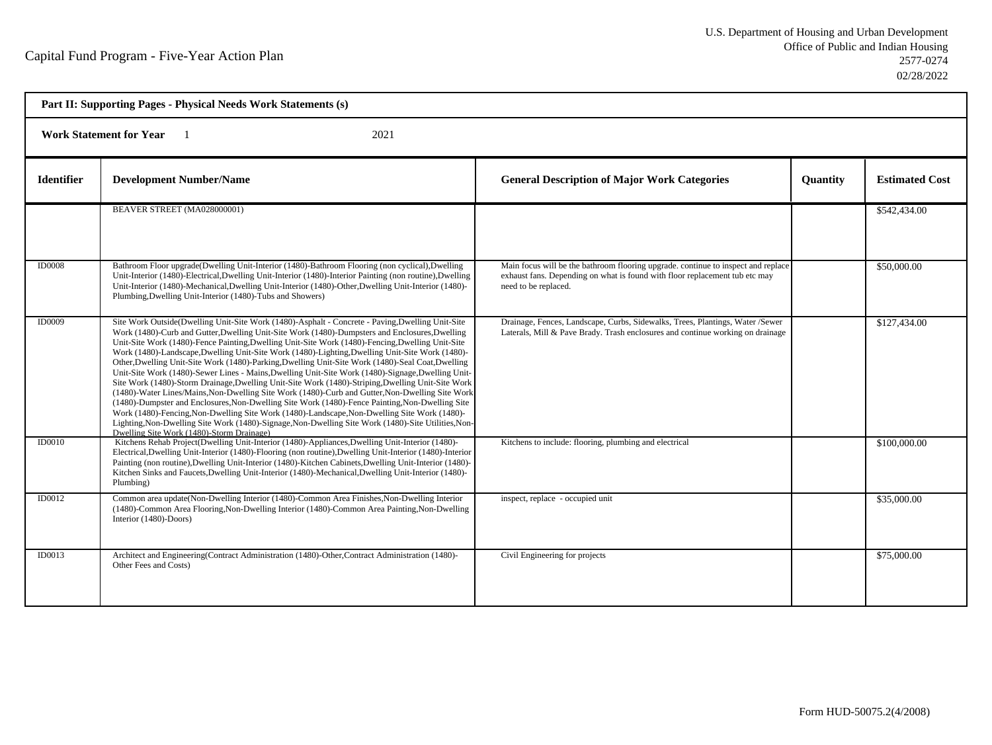| Part II: Supporting Pages - Physical Needs Work Statements (s) |                                                                                                                                                                                                                                                                                                                                                                                                                                                                                                                                                                                                                                                                                                                                                                                                                                                                                                                                                                                                                                                                                                                                                                                    |                                                                                                                                                                                          |                 |                       |  |  |  |
|----------------------------------------------------------------|------------------------------------------------------------------------------------------------------------------------------------------------------------------------------------------------------------------------------------------------------------------------------------------------------------------------------------------------------------------------------------------------------------------------------------------------------------------------------------------------------------------------------------------------------------------------------------------------------------------------------------------------------------------------------------------------------------------------------------------------------------------------------------------------------------------------------------------------------------------------------------------------------------------------------------------------------------------------------------------------------------------------------------------------------------------------------------------------------------------------------------------------------------------------------------|------------------------------------------------------------------------------------------------------------------------------------------------------------------------------------------|-----------------|-----------------------|--|--|--|
|                                                                | <b>Work Statement for Year</b><br>2021                                                                                                                                                                                                                                                                                                                                                                                                                                                                                                                                                                                                                                                                                                                                                                                                                                                                                                                                                                                                                                                                                                                                             |                                                                                                                                                                                          |                 |                       |  |  |  |
| <b>Identifier</b>                                              | <b>Development Number/Name</b>                                                                                                                                                                                                                                                                                                                                                                                                                                                                                                                                                                                                                                                                                                                                                                                                                                                                                                                                                                                                                                                                                                                                                     | <b>General Description of Major Work Categories</b>                                                                                                                                      | <b>Quantity</b> | <b>Estimated Cost</b> |  |  |  |
|                                                                | BEAVER STREET (MA028000001)                                                                                                                                                                                                                                                                                                                                                                                                                                                                                                                                                                                                                                                                                                                                                                                                                                                                                                                                                                                                                                                                                                                                                        |                                                                                                                                                                                          |                 | \$542,434.00          |  |  |  |
| <b>ID0008</b>                                                  | Bathroom Floor upgrade (Dwelling Unit-Interior (1480)-Bathroom Flooring (non cyclical), Dwelling<br>Unit-Interior (1480)-Electrical, Dwelling Unit-Interior (1480)-Interior Painting (non routine), Dwelling<br>Unit-Interior (1480)-Mechanical, Dwelling Unit-Interior (1480)-Other, Dwelling Unit-Interior (1480)-<br>Plumbing, Dwelling Unit-Interior (1480)-Tubs and Showers)                                                                                                                                                                                                                                                                                                                                                                                                                                                                                                                                                                                                                                                                                                                                                                                                  | Main focus will be the bathroom flooring upgrade. continue to inspect and replace<br>exhaust fans. Depending on what is found with floor replacement tub etc may<br>need to be replaced. |                 | \$50,000.00           |  |  |  |
| <b>ID0009</b>                                                  | Site Work Outside(Dwelling Unit-Site Work (1480)-Asphalt - Concrete - Paving, Dwelling Unit-Site<br>Work (1480)-Curb and Gutter, Dwelling Unit-Site Work (1480)-Dumpsters and Enclosures, Dwelling<br>Unit-Site Work (1480)-Fence Painting, Dwelling Unit-Site Work (1480)-Fencing, Dwelling Unit-Site<br>Work (1480)-Landscape, Dwelling Unit-Site Work (1480)-Lighting, Dwelling Unit-Site Work (1480)-<br>Other, Dwelling Unit-Site Work (1480)-Parking, Dwelling Unit-Site Work (1480)-Seal Coat, Dwelling<br>Unit-Site Work (1480)-Sewer Lines - Mains, Dwelling Unit-Site Work (1480)-Signage, Dwelling Unit-<br>Site Work (1480)-Storm Drainage, Dwelling Unit-Site Work (1480)-Striping, Dwelling Unit-Site Work<br>(1480)-Water Lines/Mains, Non-Dwelling Site Work (1480)-Curb and Gutter, Non-Dwelling Site Work<br>(1480)-Dumpster and Enclosures, Non-Dwelling Site Work (1480)-Fence Painting, Non-Dwelling Site<br>Work (1480)-Fencing, Non-Dwelling Site Work (1480)-Landscape, Non-Dwelling Site Work (1480)-<br>Lighting, Non-Dwelling Site Work (1480)-Signage, Non-Dwelling Site Work (1480)-Site Utilities, Non-<br>Dwelling Site Work (1480)-Storm Drainage) | Drainage, Fences, Landscape, Curbs, Sidewalks, Trees, Plantings, Water /Sewer<br>Laterals, Mill & Pave Brady. Trash enclosures and continue working on drainage                          |                 | \$127,434.00          |  |  |  |
| <b>ID0010</b>                                                  | Kitchens Rehab Project(Dwelling Unit-Interior (1480)-Appliances, Dwelling Unit-Interior (1480)-<br>Electrical, Dwelling Unit-Interior (1480)-Flooring (non routine), Dwelling Unit-Interior (1480)-Interior<br>Painting (non routine), Dwelling Unit-Interior (1480)-Kitchen Cabinets, Dwelling Unit-Interior (1480)-<br>Kitchen Sinks and Faucets, Dwelling Unit-Interior (1480)-Mechanical, Dwelling Unit-Interior (1480)-<br>Plumbing)                                                                                                                                                                                                                                                                                                                                                                                                                                                                                                                                                                                                                                                                                                                                          | Kitchens to include: flooring, plumbing and electrical                                                                                                                                   |                 | \$100,000.00          |  |  |  |
| <b>ID0012</b>                                                  | Common area update(Non-Dwelling Interior (1480)-Common Area Finishes, Non-Dwelling Interior<br>(1480)-Common Area Flooring, Non-Dwelling Interior (1480)-Common Area Painting, Non-Dwelling<br>Interior (1480)-Doors)                                                                                                                                                                                                                                                                                                                                                                                                                                                                                                                                                                                                                                                                                                                                                                                                                                                                                                                                                              | inspect, replace - occupied unit                                                                                                                                                         |                 | \$35,000.00           |  |  |  |
| ID0013                                                         | Architect and Engineering(Contract Administration (1480)-Other, Contract Administration (1480)-<br>Other Fees and Costs)                                                                                                                                                                                                                                                                                                                                                                                                                                                                                                                                                                                                                                                                                                                                                                                                                                                                                                                                                                                                                                                           | Civil Engineering for projects                                                                                                                                                           |                 | \$75,000.00           |  |  |  |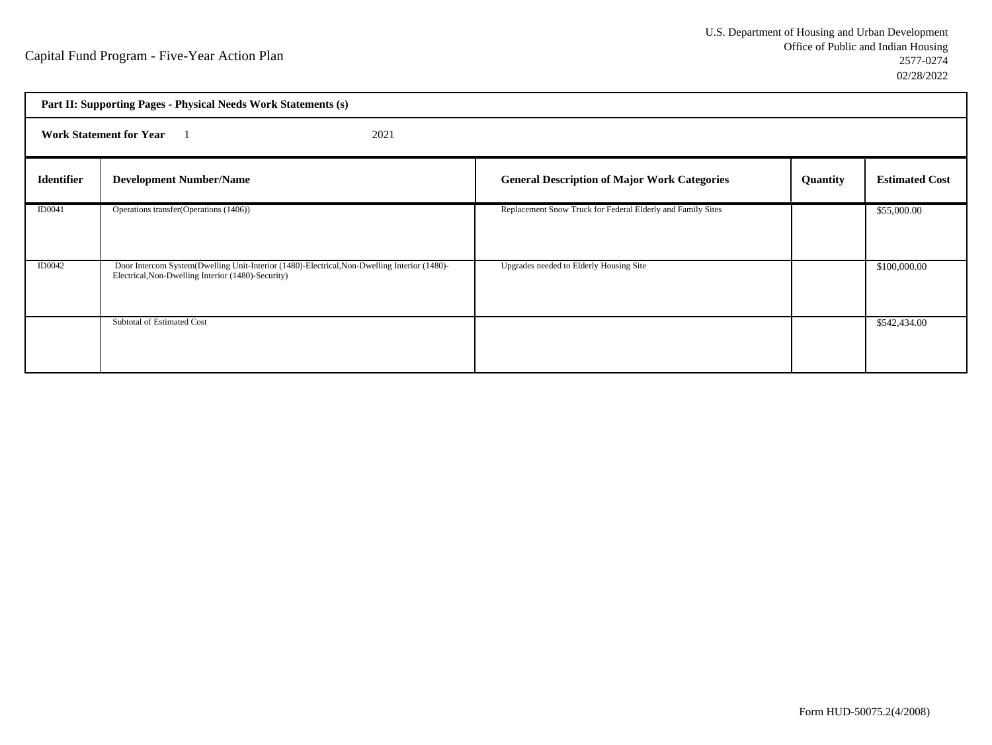|                   | Part II: Supporting Pages - Physical Needs Work Statements (s)                                                                                     |                                                             |          |                       |  |
|-------------------|----------------------------------------------------------------------------------------------------------------------------------------------------|-------------------------------------------------------------|----------|-----------------------|--|
|                   | <b>Work Statement for Year</b><br>2021                                                                                                             |                                                             |          |                       |  |
| <b>Identifier</b> | <b>Development Number/Name</b>                                                                                                                     | <b>General Description of Major Work Categories</b>         | Quantity | <b>Estimated Cost</b> |  |
| ID0041            | Operations transfer(Operations (1406))                                                                                                             | Replacement Snow Truck for Federal Elderly and Family Sites |          | \$55,000.00           |  |
| <b>ID0042</b>     | Door Intercom System(Dwelling Unit-Interior (1480)-Electrical, Non-Dwelling Interior (1480)-<br>Electrical, Non-Dwelling Interior (1480)-Security) | Upgrades needed to Elderly Housing Site                     |          | \$100,000.00          |  |
|                   | Subtotal of Estimated Cost                                                                                                                         |                                                             |          | \$542,434.00          |  |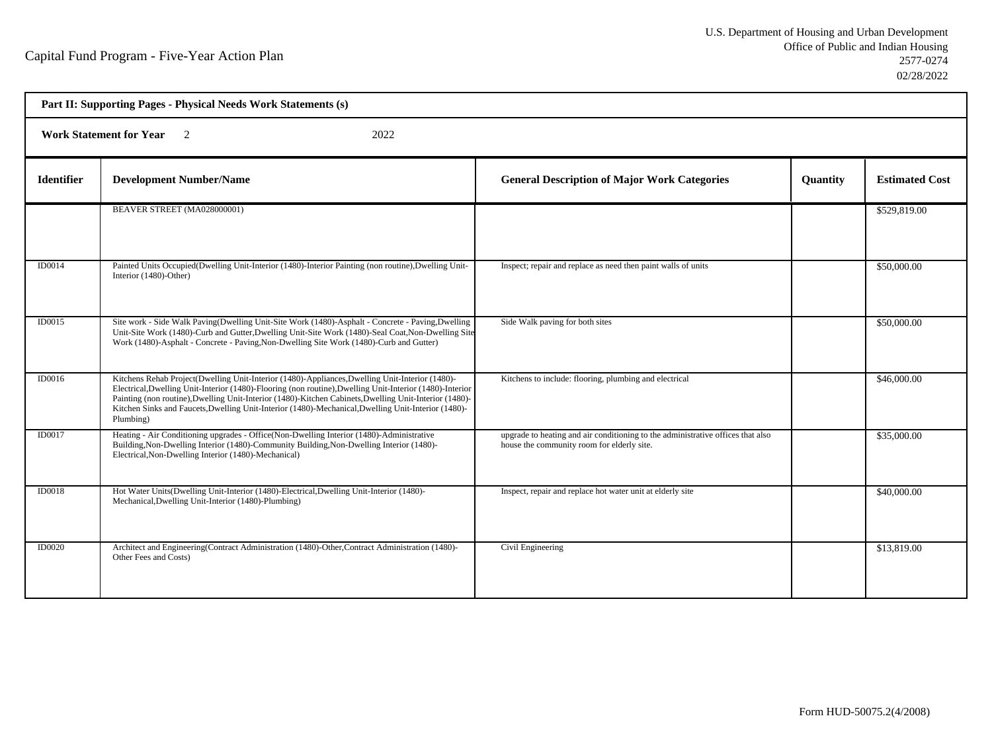| Part II: Supporting Pages - Physical Needs Work Statements (s) |                                                                                                                                                                                                                                                                                                                                                                                                                                           |                                                                                                                               |                 |                       |  |  |
|----------------------------------------------------------------|-------------------------------------------------------------------------------------------------------------------------------------------------------------------------------------------------------------------------------------------------------------------------------------------------------------------------------------------------------------------------------------------------------------------------------------------|-------------------------------------------------------------------------------------------------------------------------------|-----------------|-----------------------|--|--|
|                                                                | <b>Work Statement for Year</b><br>$\overline{2}$<br>2022                                                                                                                                                                                                                                                                                                                                                                                  |                                                                                                                               |                 |                       |  |  |
| <b>Identifier</b>                                              | <b>Development Number/Name</b>                                                                                                                                                                                                                                                                                                                                                                                                            | <b>General Description of Major Work Categories</b>                                                                           | <b>Quantity</b> | <b>Estimated Cost</b> |  |  |
|                                                                | BEAVER STREET (MA028000001)                                                                                                                                                                                                                                                                                                                                                                                                               |                                                                                                                               |                 | \$529,819.00          |  |  |
| ID0014                                                         | Painted Units Occupied (Dwelling Unit-Interior (1480)-Interior Painting (non routine), Dwelling Unit-<br>Interior (1480)-Other)                                                                                                                                                                                                                                                                                                           | Inspect; repair and replace as need then paint walls of units                                                                 |                 | \$50,000.00           |  |  |
| ID0015                                                         | Site work - Side Walk Paving(Dwelling Unit-Site Work (1480)-Asphalt - Concrete - Paving, Dwelling<br>Unit-Site Work (1480)-Curb and Gutter, Dwelling Unit-Site Work (1480)-Seal Coat, Non-Dwelling Site<br>Work (1480)-Asphalt - Concrete - Paving, Non-Dwelling Site Work (1480)-Curb and Gutter)                                                                                                                                        | Side Walk paving for both sites                                                                                               |                 | \$50,000.00           |  |  |
| ID0016                                                         | Kitchens Rehab Project(Dwelling Unit-Interior (1480)-Appliances, Dwelling Unit-Interior (1480)-<br>Electrical, Dwelling Unit-Interior (1480)-Flooring (non routine), Dwelling Unit-Interior (1480)-Interior<br>Painting (non routine), Dwelling Unit-Interior (1480)-Kitchen Cabinets, Dwelling Unit-Interior (1480)-<br>Kitchen Sinks and Faucets, Dwelling Unit-Interior (1480)-Mechanical, Dwelling Unit-Interior (1480)-<br>Plumbing) | Kitchens to include: flooring, plumbing and electrical                                                                        |                 | \$46,000.00           |  |  |
| ID0017                                                         | Heating - Air Conditioning upgrades - Office(Non-Dwelling Interior (1480)-Administrative<br>Building, Non-Dwelling Interior (1480)-Community Building, Non-Dwelling Interior (1480)-<br>Electrical, Non-Dwelling Interior (1480)-Mechanical)                                                                                                                                                                                              | upgrade to heating and air conditioning to the administrative offices that also<br>house the community room for elderly site. |                 | \$35,000.00           |  |  |
| ID0018                                                         | Hot Water Units(Dwelling Unit-Interior (1480)-Electrical, Dwelling Unit-Interior (1480)-<br>Mechanical, Dwelling Unit-Interior (1480)-Plumbing)                                                                                                                                                                                                                                                                                           | Inspect, repair and replace hot water unit at elderly site                                                                    |                 | \$40,000.00           |  |  |
| ID0020                                                         | Architect and Engineering(Contract Administration (1480)-Other, Contract Administration (1480)-<br>Other Fees and Costs)                                                                                                                                                                                                                                                                                                                  | Civil Engineering                                                                                                             |                 | \$13,819.00           |  |  |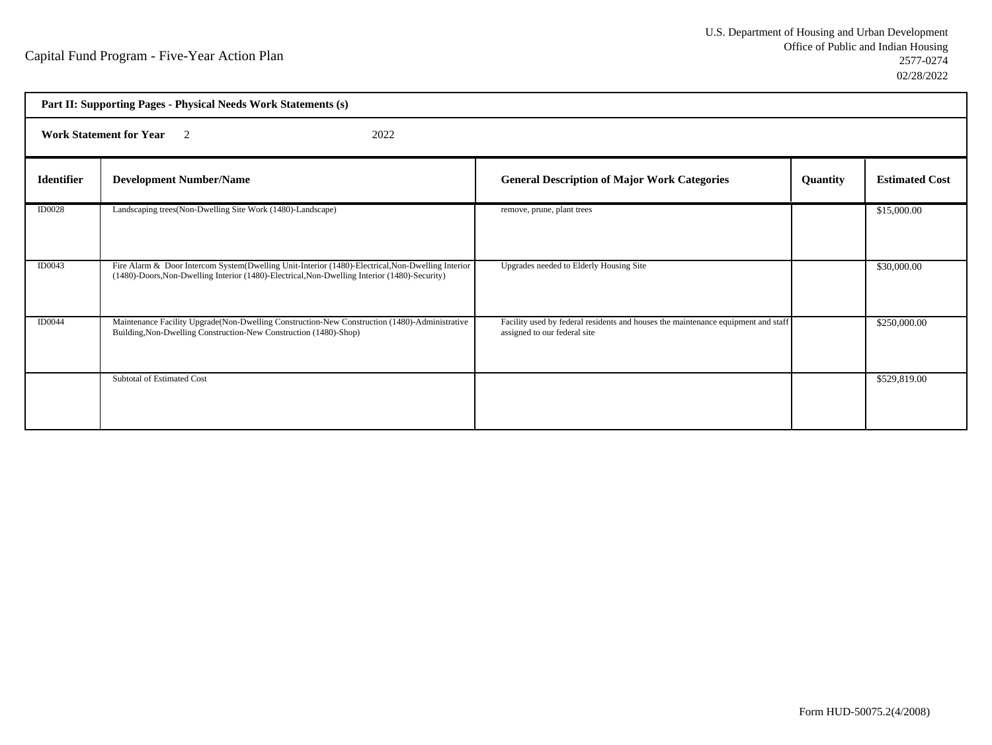|                   | Part II: Supporting Pages - Physical Needs Work Statements (s)                                                                                                                                     |                                                                                                                   |          |                       |  |
|-------------------|----------------------------------------------------------------------------------------------------------------------------------------------------------------------------------------------------|-------------------------------------------------------------------------------------------------------------------|----------|-----------------------|--|
|                   | <b>Work Statement for Year</b> 2<br>2022                                                                                                                                                           |                                                                                                                   |          |                       |  |
| <b>Identifier</b> | <b>Development Number/Name</b>                                                                                                                                                                     | <b>General Description of Major Work Categories</b>                                                               | Quantity | <b>Estimated Cost</b> |  |
| <b>ID0028</b>     | Landscaping trees(Non-Dwelling Site Work (1480)-Landscape)                                                                                                                                         | remove, prune, plant trees                                                                                        |          | \$15,000.00           |  |
| ID0043            | Fire Alarm & Door Intercom System(Dwelling Unit-Interior (1480)-Electrical, Non-Dwelling Interior<br>(1480)-Doors, Non-Dwelling Interior (1480)-Electrical, Non-Dwelling Interior (1480)-Security) | Upgrades needed to Elderly Housing Site                                                                           |          | \$30,000.00           |  |
| <b>ID0044</b>     | Maintenance Facility Upgrade(Non-Dwelling Construction-New Construction (1480)-Administrative<br>Building, Non-Dwelling Construction-New Construction (1480)-Shop)                                 | Facility used by federal residents and houses the maintenance equipment and staff<br>assigned to our federal site |          | \$250,000.00          |  |
|                   | Subtotal of Estimated Cost                                                                                                                                                                         |                                                                                                                   |          | \$529,819.00          |  |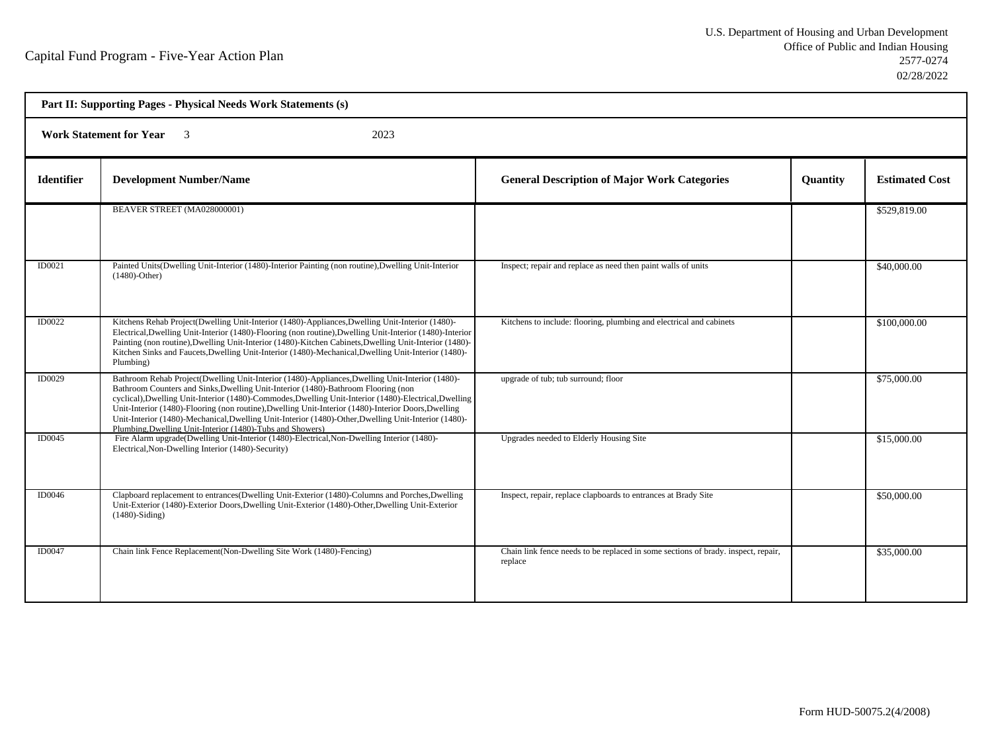| Part II: Supporting Pages - Physical Needs Work Statements (s) |                                                                                                                                                                                                                                                                                                                                                                                                                                                                                                                                                                           |                                                                                              |          |                       |  |  |
|----------------------------------------------------------------|---------------------------------------------------------------------------------------------------------------------------------------------------------------------------------------------------------------------------------------------------------------------------------------------------------------------------------------------------------------------------------------------------------------------------------------------------------------------------------------------------------------------------------------------------------------------------|----------------------------------------------------------------------------------------------|----------|-----------------------|--|--|
|                                                                | <b>Work Statement for Year</b><br>2023<br>$\overline{\mathbf{3}}$                                                                                                                                                                                                                                                                                                                                                                                                                                                                                                         |                                                                                              |          |                       |  |  |
| <b>Identifier</b>                                              | <b>Development Number/Name</b>                                                                                                                                                                                                                                                                                                                                                                                                                                                                                                                                            | <b>General Description of Major Work Categories</b>                                          | Quantity | <b>Estimated Cost</b> |  |  |
|                                                                | BEAVER STREET (MA028000001)                                                                                                                                                                                                                                                                                                                                                                                                                                                                                                                                               |                                                                                              |          | \$529,819.00          |  |  |
| ID0021                                                         | Painted Units(Dwelling Unit-Interior (1480)-Interior Painting (non routine), Dwelling Unit-Interior<br>$(1480)$ -Other)                                                                                                                                                                                                                                                                                                                                                                                                                                                   | Inspect; repair and replace as need then paint walls of units                                |          | \$40,000.00           |  |  |
| ID0022                                                         | Kitchens Rehab Project(Dwelling Unit-Interior (1480)-Appliances, Dwelling Unit-Interior (1480)-<br>Electrical, Dwelling Unit-Interior (1480)-Flooring (non routine), Dwelling Unit-Interior (1480)-Interior<br>Painting (non routine), Dwelling Unit-Interior (1480)-Kitchen Cabinets, Dwelling Unit-Interior (1480)-<br>Kitchen Sinks and Faucets, Dwelling Unit-Interior (1480)-Mechanical, Dwelling Unit-Interior (1480)-<br>Plumbing)                                                                                                                                 | Kitchens to include: flooring, plumbing and electrical and cabinets                          |          | \$100,000.00          |  |  |
| ID0029                                                         | Bathroom Rehab Project(Dwelling Unit-Interior (1480)-Appliances, Dwelling Unit-Interior (1480)-<br>Bathroom Counters and Sinks, Dwelling Unit-Interior (1480)-Bathroom Flooring (non<br>cyclical), Dwelling Unit-Interior (1480)-Commodes, Dwelling Unit-Interior (1480)-Electrical, Dwelling<br>Unit-Interior (1480)-Flooring (non routine), Dwelling Unit-Interior (1480)-Interior Doors, Dwelling<br>Unit-Interior (1480)-Mechanical, Dwelling Unit-Interior (1480)-Other, Dwelling Unit-Interior (1480)-<br>Plumbing, Dwelling Unit-Interior (1480)-Tubs and Showers) | upgrade of tub; tub surround; floor                                                          |          | \$75,000.00           |  |  |
| ID0045                                                         | Fire Alarm upgrade(Dwelling Unit-Interior (1480)-Electrical, Non-Dwelling Interior (1480)-<br>Electrical, Non-Dwelling Interior (1480)-Security)                                                                                                                                                                                                                                                                                                                                                                                                                          | Upgrades needed to Elderly Housing Site                                                      |          | \$15,000.00           |  |  |
| ID0046                                                         | Clapboard replacement to entrances(Dwelling Unit-Exterior (1480)-Columns and Porches, Dwelling<br>Unit-Exterior (1480)-Exterior Doors, Dwelling Unit-Exterior (1480)-Other, Dwelling Unit-Exterior<br>$(1480)$ -Siding)                                                                                                                                                                                                                                                                                                                                                   | Inspect, repair, replace clapboards to entrances at Brady Site                               |          | \$50,000.00           |  |  |
| ID0047                                                         | Chain link Fence Replacement(Non-Dwelling Site Work (1480)-Fencing)                                                                                                                                                                                                                                                                                                                                                                                                                                                                                                       | Chain link fence needs to be replaced in some sections of brady. inspect, repair,<br>replace |          | \$35,000.00           |  |  |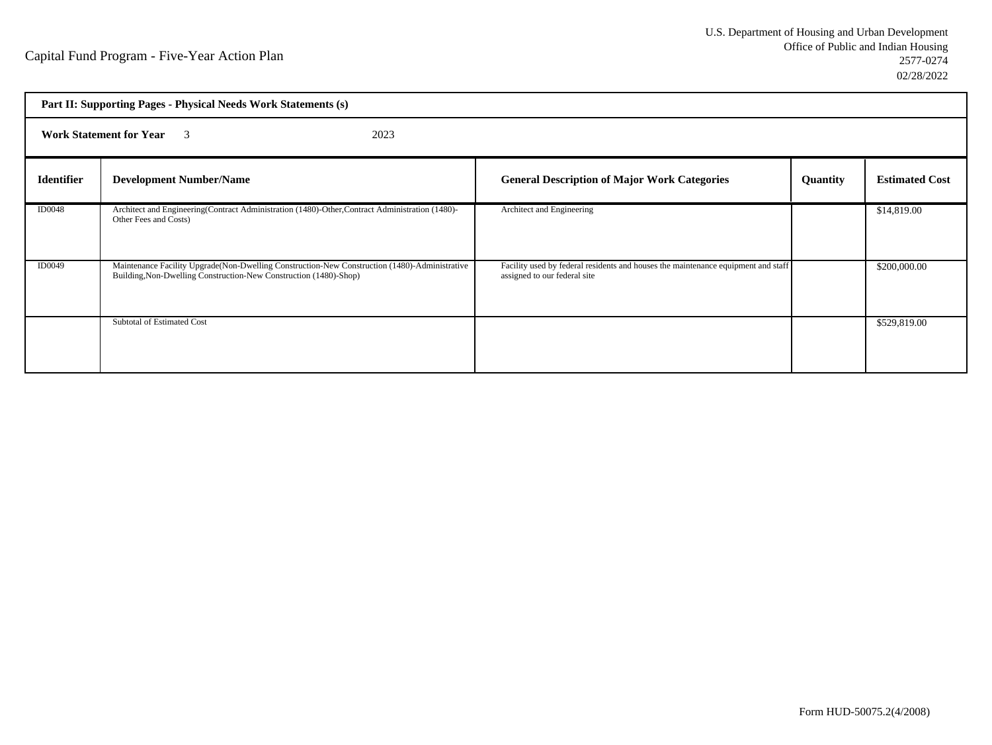| Part II: Supporting Pages - Physical Needs Work Statements (s) |                                                                                                                                                                     |                                                                                                                   |                 |                       |
|----------------------------------------------------------------|---------------------------------------------------------------------------------------------------------------------------------------------------------------------|-------------------------------------------------------------------------------------------------------------------|-----------------|-----------------------|
|                                                                | <b>Work Statement for Year</b> 3<br>2023                                                                                                                            |                                                                                                                   |                 |                       |
| <b>Identifier</b>                                              | <b>Development Number/Name</b>                                                                                                                                      | <b>General Description of Major Work Categories</b>                                                               | <b>Quantity</b> | <b>Estimated Cost</b> |
| <b>ID0048</b>                                                  | Architect and Engineering(Contract Administration (1480)-Other, Contract Administration (1480)-<br>Other Fees and Costs)                                            | Architect and Engineering                                                                                         |                 | \$14,819.00           |
| ID0049                                                         | Maintenance Facility Upgrade (Non-Dwelling Construction-New Construction (1480)-Administrative<br>Building, Non-Dwelling Construction-New Construction (1480)-Shop) | Facility used by federal residents and houses the maintenance equipment and staff<br>assigned to our federal site |                 | \$200,000.00          |
|                                                                | Subtotal of Estimated Cost                                                                                                                                          |                                                                                                                   |                 | \$529,819.00          |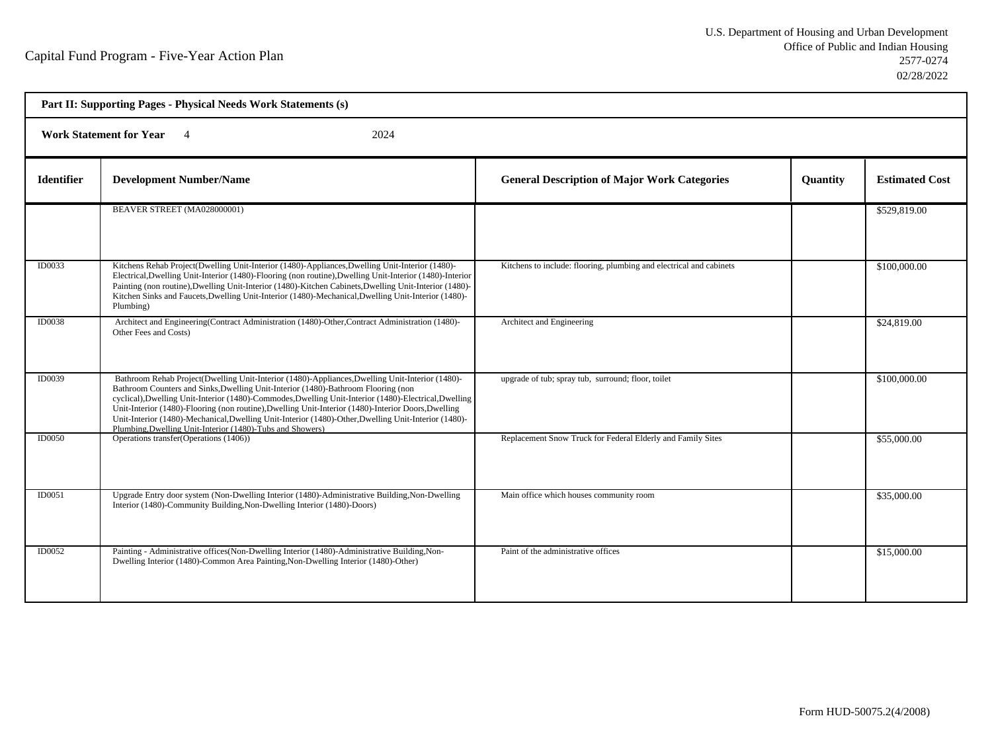| Part II: Supporting Pages - Physical Needs Work Statements (s) |                                                                                                                                                                                                                                                                                                                                                                                                                                                                                                                                                                           |                                                                     |                 |                       |  |  |
|----------------------------------------------------------------|---------------------------------------------------------------------------------------------------------------------------------------------------------------------------------------------------------------------------------------------------------------------------------------------------------------------------------------------------------------------------------------------------------------------------------------------------------------------------------------------------------------------------------------------------------------------------|---------------------------------------------------------------------|-----------------|-----------------------|--|--|
|                                                                | Work Statement for Year 4<br>2024                                                                                                                                                                                                                                                                                                                                                                                                                                                                                                                                         |                                                                     |                 |                       |  |  |
| <b>Identifier</b>                                              | <b>Development Number/Name</b>                                                                                                                                                                                                                                                                                                                                                                                                                                                                                                                                            | <b>General Description of Major Work Categories</b>                 | <b>Ouantity</b> | <b>Estimated Cost</b> |  |  |
|                                                                | BEAVER STREET (MA028000001)                                                                                                                                                                                                                                                                                                                                                                                                                                                                                                                                               |                                                                     |                 | \$529,819.00          |  |  |
| ID0033                                                         | Kitchens Rehab Project(Dwelling Unit-Interior (1480)-Appliances, Dwelling Unit-Interior (1480)-<br>Electrical, Dwelling Unit-Interior (1480)-Flooring (non routine), Dwelling Unit-Interior (1480)-Interior<br>Painting (non routine), Dwelling Unit-Interior (1480)-Kitchen Cabinets, Dwelling Unit-Interior (1480)-<br>Kitchen Sinks and Faucets, Dwelling Unit-Interior (1480)-Mechanical, Dwelling Unit-Interior (1480)-<br>Plumbing)                                                                                                                                 | Kitchens to include: flooring, plumbing and electrical and cabinets |                 | \$100,000.00          |  |  |
| <b>ID0038</b>                                                  | Architect and Engineering(Contract Administration (1480)-Other, Contract Administration (1480)-<br>Other Fees and Costs)                                                                                                                                                                                                                                                                                                                                                                                                                                                  | Architect and Engineering                                           |                 | \$24,819.00           |  |  |
| ID0039                                                         | Bathroom Rehab Project(Dwelling Unit-Interior (1480)-Appliances, Dwelling Unit-Interior (1480)-<br>Bathroom Counters and Sinks, Dwelling Unit-Interior (1480)-Bathroom Flooring (non<br>cyclical), Dwelling Unit-Interior (1480)-Commodes, Dwelling Unit-Interior (1480)-Electrical, Dwelling<br>Unit-Interior (1480)-Flooring (non routine), Dwelling Unit-Interior (1480)-Interior Doors, Dwelling<br>Unit-Interior (1480)-Mechanical, Dwelling Unit-Interior (1480)-Other, Dwelling Unit-Interior (1480)-<br>Plumbing, Dwelling Unit-Interior (1480)-Tubs and Showers) | upgrade of tub; spray tub, surround; floor, toilet                  |                 | \$100,000.00          |  |  |
| <b>ID0050</b>                                                  | Operations transfer(Operations (1406))                                                                                                                                                                                                                                                                                                                                                                                                                                                                                                                                    | Replacement Snow Truck for Federal Elderly and Family Sites         |                 | \$55,000.00           |  |  |
| ID0051                                                         | Upgrade Entry door system (Non-Dwelling Interior (1480)-Administrative Building, Non-Dwelling<br>Interior (1480)-Community Building, Non-Dwelling Interior (1480)-Doors)                                                                                                                                                                                                                                                                                                                                                                                                  | Main office which houses community room                             |                 | \$35,000.00           |  |  |
| ID0052                                                         | Painting - Administrative offices(Non-Dwelling Interior (1480)-Administrative Building, Non-<br>Dwelling Interior (1480)-Common Area Painting, Non-Dwelling Interior (1480)-Other)                                                                                                                                                                                                                                                                                                                                                                                        | Paint of the administrative offices                                 |                 | \$15,000.00           |  |  |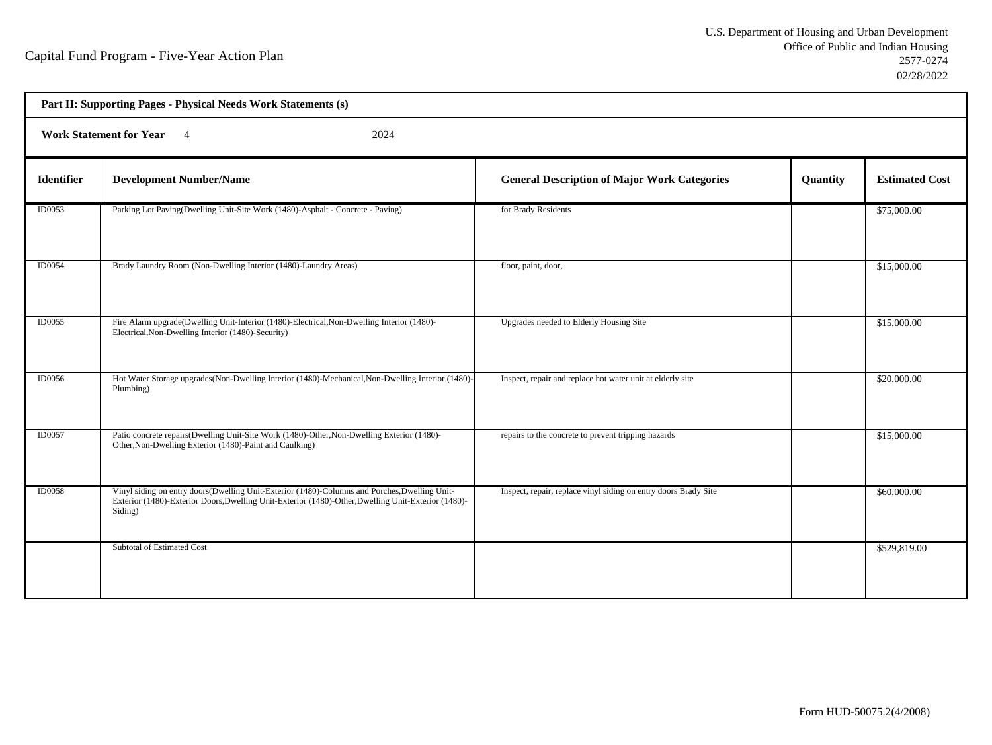|                   | Part II: Supporting Pages - Physical Needs Work Statements (s)                                                                                                                                                  |                                                                 |          |                       |  |  |
|-------------------|-----------------------------------------------------------------------------------------------------------------------------------------------------------------------------------------------------------------|-----------------------------------------------------------------|----------|-----------------------|--|--|
|                   | <b>Work Statement for Year</b><br>2024<br>$\overline{4}$                                                                                                                                                        |                                                                 |          |                       |  |  |
| <b>Identifier</b> | <b>Development Number/Name</b>                                                                                                                                                                                  | <b>General Description of Major Work Categories</b>             | Quantity | <b>Estimated Cost</b> |  |  |
| ID0053            | Parking Lot Paving(Dwelling Unit-Site Work (1480)-Asphalt - Concrete - Paving)                                                                                                                                  | for Brady Residents                                             |          | \$75,000.00           |  |  |
| ID0054            | Brady Laundry Room (Non-Dwelling Interior (1480)-Laundry Areas)                                                                                                                                                 | floor, paint, door,                                             |          | \$15,000.00           |  |  |
| <b>ID0055</b>     | Fire Alarm upgrade(Dwelling Unit-Interior (1480)-Electrical, Non-Dwelling Interior (1480)-<br>Electrical, Non-Dwelling Interior (1480)-Security)                                                                | Upgrades needed to Elderly Housing Site                         |          | \$15,000.00           |  |  |
| ID0056            | Hot Water Storage upgrades (Non-Dwelling Interior (1480)-Mechanical, Non-Dwelling Interior (1480)-<br>Plumbing)                                                                                                 | Inspect, repair and replace hot water unit at elderly site      |          | \$20,000.00           |  |  |
| ID0057            | Patio concrete repairs(Dwelling Unit-Site Work (1480)-Other, Non-Dwelling Exterior (1480)-<br>Other, Non-Dwelling Exterior (1480)-Paint and Caulking)                                                           | repairs to the concrete to prevent tripping hazards             |          | \$15,000.00           |  |  |
| <b>ID0058</b>     | Vinyl siding on entry doors(Dwelling Unit-Exterior (1480)-Columns and Porches, Dwelling Unit-<br>Exterior (1480)-Exterior Doors, Dwelling Unit-Exterior (1480)-Other, Dwelling Unit-Exterior (1480)-<br>Siding) | Inspect, repair, replace vinyl siding on entry doors Brady Site |          | \$60,000.00           |  |  |
|                   | Subtotal of Estimated Cost                                                                                                                                                                                      |                                                                 |          | \$529,819.00          |  |  |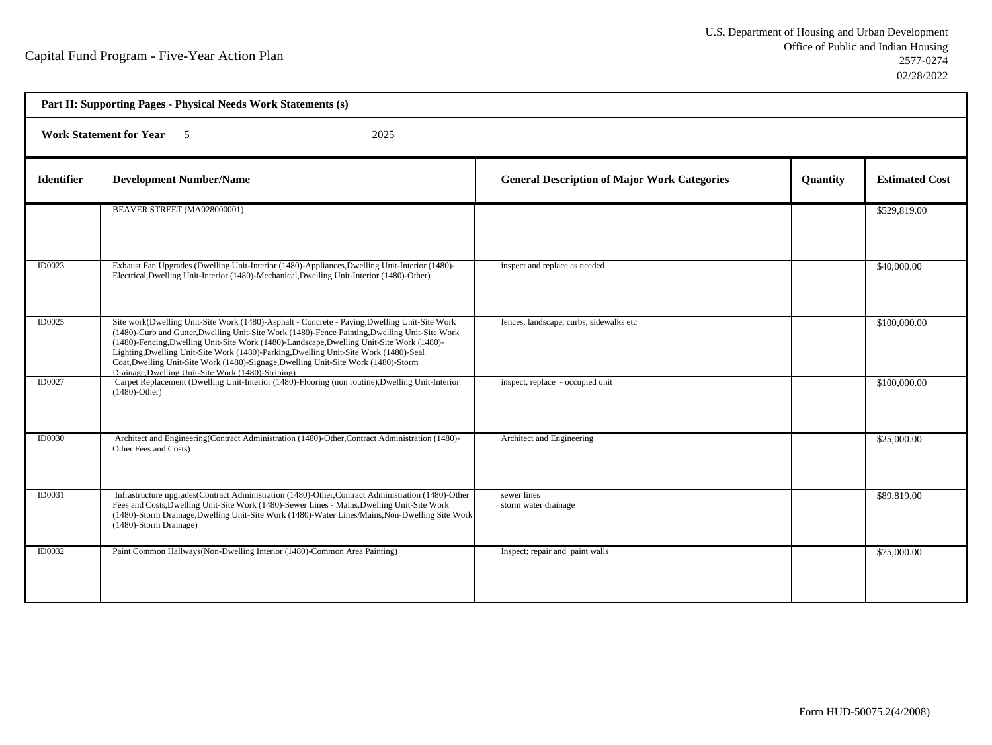|                   | Part II: Supporting Pages - Physical Needs Work Statements (s)                                                                                                                                                                                                                                                                                                                                                                                                                                                                   |                                                     |                 |                       |  |  |  |
|-------------------|----------------------------------------------------------------------------------------------------------------------------------------------------------------------------------------------------------------------------------------------------------------------------------------------------------------------------------------------------------------------------------------------------------------------------------------------------------------------------------------------------------------------------------|-----------------------------------------------------|-----------------|-----------------------|--|--|--|
|                   | <b>Work Statement for Year</b> 5<br>2025                                                                                                                                                                                                                                                                                                                                                                                                                                                                                         |                                                     |                 |                       |  |  |  |
| <b>Identifier</b> | <b>Development Number/Name</b>                                                                                                                                                                                                                                                                                                                                                                                                                                                                                                   | <b>General Description of Major Work Categories</b> | <b>Quantity</b> | <b>Estimated Cost</b> |  |  |  |
|                   | BEAVER STREET (MA028000001)                                                                                                                                                                                                                                                                                                                                                                                                                                                                                                      |                                                     |                 | \$529,819.00          |  |  |  |
| ID0023            | Exhaust Fan Upgrades (Dwelling Unit-Interior (1480)-Appliances, Dwelling Unit-Interior (1480)-<br>Electrical, Dwelling Unit-Interior (1480)-Mechanical, Dwelling Unit-Interior (1480)-Other)                                                                                                                                                                                                                                                                                                                                     | inspect and replace as needed                       |                 | \$40,000.00           |  |  |  |
| ID0025            | Site work(Dwelling Unit-Site Work (1480)-Asphalt - Concrete - Paving,Dwelling Unit-Site Work<br>(1480)-Curb and Gutter, Dwelling Unit-Site Work (1480)-Fence Painting, Dwelling Unit-Site Work<br>(1480)-Fencing, Dwelling Unit-Site Work (1480)-Landscape, Dwelling Unit-Site Work (1480)-<br>Lighting, Dwelling Unit-Site Work (1480)-Parking, Dwelling Unit-Site Work (1480)-Seal<br>Coat, Dwelling Unit-Site Work (1480)-Signage, Dwelling Unit-Site Work (1480)-Storm<br>Drainage, Dwelling Unit-Site Work (1480)-Striping) | fences, landscape, curbs, sidewalks etc             |                 | \$100,000.00          |  |  |  |
| ID0027            | Carpet Replacement (Dwelling Unit-Interior (1480)-Flooring (non routine), Dwelling Unit-Interior<br>$(1480)$ -Other)                                                                                                                                                                                                                                                                                                                                                                                                             | inspect, replace - occupied unit                    |                 | \$100,000.00          |  |  |  |
| <b>ID0030</b>     | Architect and Engineering(Contract Administration (1480)-Other, Contract Administration (1480)-<br>Other Fees and Costs)                                                                                                                                                                                                                                                                                                                                                                                                         | Architect and Engineering                           |                 | \$25,000.00           |  |  |  |
| ID0031            | Infrastructure upgrades(Contract Administration (1480)-Other, Contract Administration (1480)-Other<br>Fees and Costs, Dwelling Unit-Site Work (1480)-Sewer Lines - Mains, Dwelling Unit-Site Work<br>(1480)-Storm Drainage, Dwelling Unit-Site Work (1480)-Water Lines/Mains, Non-Dwelling Site Work<br>(1480)-Storm Drainage)                                                                                                                                                                                                   | sewer lines<br>storm water drainage                 |                 | \$89,819.00           |  |  |  |
| <b>ID0032</b>     | Paint Common Hallways (Non-Dwelling Interior (1480)-Common Area Painting)                                                                                                                                                                                                                                                                                                                                                                                                                                                        | Inspect; repair and paint walls                     |                 | \$75,000.00           |  |  |  |